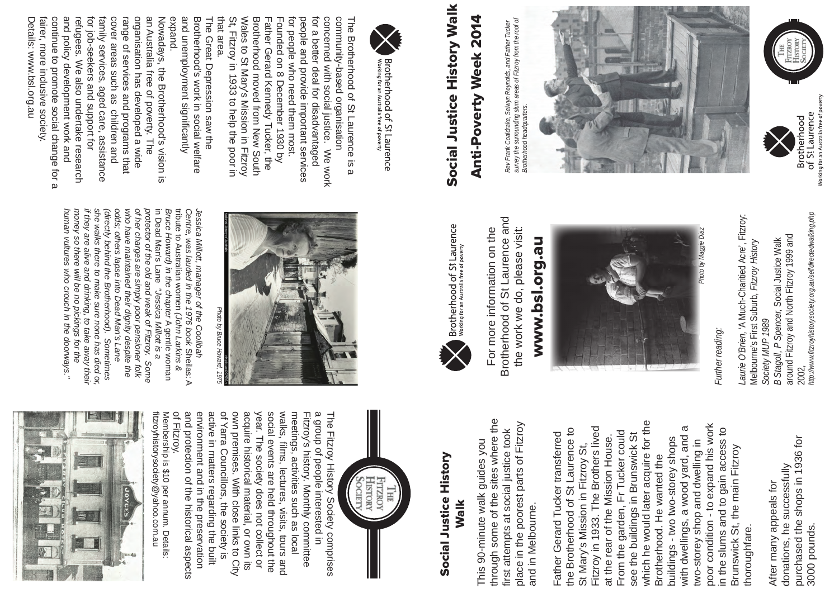



**Brotherhood of St Laurence**<br>Working for an Australia free of poverty

# Anti-Poverty Week 2014 Anti-Poverty Week 2014

www.bsl.org.au www.bsl.org.au

Brotherhood of St Laurence and Brotherhood of St Laurence and For more information on the the work we do, please visit: For more information on the the work we do, please visit:

Brotherhood of St Laurence<br>Working for an Australia free of poverty



Social Justice History

**Social Justice History** 

Walk

This 90-minute walk guides you

This 90-minute walk guides you

through some of the sites where the first attempts at social justice took place in the poorest parts of Fitzroy

through some of the sites where the

which he would later acquire for the poor condition - to expand his work which he would later acquire for the with dwellings, a wood yard, and a poor condition - to expand his work Fitzroy in 1933. The Brothers lived the Brotherhood of St Laurence to in the slums and to gain access to Fitzroy in 1933. The Brothers lived with dwellings, a wood yard, and a in the slums and to gain access to the Brotherhood of St Laurence to From the garden, Fr Tucker could Father Gerard Tucker transferred From the garden, Fr Tucker could see the buildings in Brunswick St Father Gerard Tucker transferred at the rear of the Mission House. see the buildings in Brunswick St buildings - two two-storey shops at the rear of the Mission House buildings - two two-storey shops two-storey shop and dwelling in two-storey shop and dwelling in St Mary's Mission in Fitzroy St, Brunswick St, the main Fitzroy Brunswick St, the main Fitzroy St Mary's Mission in Fitzroy St Brotherhood. He wanted the Brotherhood. He wanted the thoroughfare. thoroughfare.



of Yarra Councillors, the society is and protection of the historical aspects environment and in the preservation active in matters regarding the built own premises. With close links to City acquire historical material, or own its year. The society does not collect or social events are held throughout the walks, meetings, activities such as local Fitzroy's history. Monthly committee a group of people interested in of Fitzroy. and protection of the historical aspects environment and in the preservation active in matters regarding the built of Yarra Councillors, the society is own premises. With close links to City acquire historical material, or own its year. The society does not collect or social events are held throughout the walks, films, lectures, visits, tours and meetings, activities such as local a group of people interested in The Fitzroy History Society comprises The Fitzroy History Society comprises Fitzroy's history. Monthly committee films, lectures, visits, tours and

and in Melbourne.

and in Melbourne.

place in the poorest parts of Fitzroy

first attempts at social justice took



Further reading: *Further reading:*

http://www.fitzroyhistorysociety.org.au/selfdirectedwalking.php *Laurie O'Brien,* 'A Much-Charitied Acre', Fitzroy: 2002*, http://www.fitzroyhistorysociety.org.au/selfdirectedwalking.php* Laurie O'Brien, 'A Much-Charitied Acre', Fitzroy: around Fitzroy and North Fitzroy 1999 and around Fitzroy and North Fitzroy 1999 and *B Stagoll, P Spencer,* Social Justice Walk Melbourne's First Suburb*, Fitzroy History*  B Stagoll, P Spencer, Social Justice Walk Melbourne's First Suburb, Fitzroy History Society MUP 1989 *Society MUP 1989* 2002,





continue to promote social change for a Nowadays, the Brotherhood's vision is fairer, more inclusive society. and policy development work and refugees. We also undertake research for job-seekers and support for family services, aged care, assistance cover areas such as children and range of services and programs that organisation has developed a wide an Australia free of poverty. The Details: www.bsl.org.au fairer, more inclusive society. continue to promote social change for a and policy development work and for job-seekers and support for family services, aged care, assistance cover areas such as children and organisation has developed a wide an Australia free of poverty. The Details: www.bsl.org.au refugees. We also undertake research range of services and programs that Nowadays, the Brotherhood's vision is

Brotherhood's work in social welfare expand. and unemployment significantly and unemployment significantly Brotherhood's work in social welfare The Great Depression saw the The Great Depression saw the

> purchased the shops in 1936 for purchased the shops in 1936 for donations, he successfully donations, he successfully After many appeals for After many appeals for 3000 pounds. 3000 pounds.

that area. Wales to St Mary's Mission in Fitzroy Brotherhood moved from New South Father Gerard Kennedy Tucker, the Founded on 8 December 1930 by for people who need them most. people and provide important services for a better deal for disadvantaged Concerned Sith social linging. Ne sorry community-based organisation that area. St, Fitzroy in 1933 to help the poor in St, Fitzroy in 1933 to help the poor in Wales to St Mary's Mission in Fitzroy Brotherhood moved from New South for people who need them most. people and provide important services for a better deal for disadvantaged concerned with social justice. We work community-based organisation The Brotherhood of St Laurence is a The Brotherhood of St Laurence is a Father Gerard Kennedy Tucker, the Founded on 8 December 1930 by

fitzroyhistorysociety@yahoo.com.au fitzroyhistorysociety@yahoo.com.au Membership is \$10 per annum. Details: Membership is \$10 per annum. Details:





Rev Frank Coaldrake, Selwyn Reynolds, and Father Tucker<br>survey the surrounding slum areas of Fitzroy from the roof of<br>Brotherhood headquarters. survey the surrounding slum areas of Fitzroy from the roof of *Rev Frank Coaldrake, Selwyn Reynolds, and Father Tucker Brotherhood headquarters.*

Photo by Bruce *Photo by Bruce Howard, 1975*

in Dead Man's Lane tribute to Australian women (John Larkins & human vultures who crouch in the doorways." money so there will be no pickings for the if they are alive and drinking, to take away their she walks there to make sure none has died or (directly behind the Brotherhood). Sometimes odds; others lapse into Dead Man's Lane who have maintained their dignity despite the of her charges are simply poor pensioner folk protector of the old and weak of Fitzroy. protector of the old and weak of Fitzroy. Some *Bruce Howard) in the chapter A* gentle woman<br>in Dead Man's Lane *"Jessica Millott is a* tribute to Australian womenJessica Millott, manager of the Coolibah human vultures who crouch in the doorways." money so there will be no pickings for the if they are alive and drinking, to take away their she walks there to make sure none has died or, (directly behind the Brotherhood). Sometimes odds; others lapse into Dead Man's Lane who have maintained their dignity despite the of her charges are simply poor pensioner folk in Dead Man's LaneBruce Howard) in the chapter Centre, was lauded in the 1976 book Sheilas: A Centre, was lauded in the 1976 book Jessica Millott, manager of the Coolibah "Jessica Millott is a (John Larkins & A gentle woman Sheilas: A Some